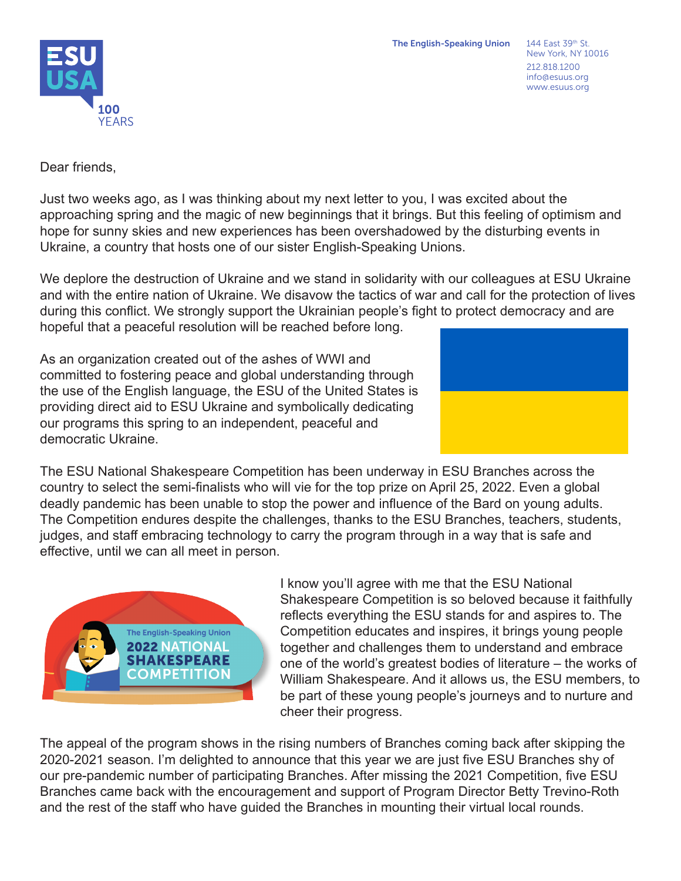New York, NY 10016 212.818.1200 info@esuus.org www.esuus.org

Dear friends,

Just two weeks ago, as I was thinking about my next letter to you, I was excited about the approaching spring and the magic of new beginnings that it brings. But this feeling of optimism and hope for sunny skies and new experiences has been overshadowed by the disturbing events in Ukraine, a country that hosts one of our sister English-Speaking Unions.

We deplore the destruction of Ukraine and we stand in solidarity with our colleagues at ESU Ukraine and with the entire nation of Ukraine. We disavow the tactics of war and call for the protection of lives during this conflict. We strongly support the Ukrainian people's fight to protect democracy and are hopeful that a peaceful resolution will be reached before long.

As an organization created out of the ashes of WWI and committed to fostering peace and global understanding through the use of the English language, the ESU of the United States is providing direct aid to ESU Ukraine and symbolically dedicating our programs this spring to an independent, peaceful and democratic Ukraine.

The ESU National Shakespeare Competition has been underway in ESU Branches across the country to select the semi-finalists who will vie for the top prize on April 25, 2022. Even a global deadly pandemic has been unable to stop the power and influence of the Bard on young adults. The Competition endures despite the challenges, thanks to the ESU Branches, teachers, students, judges, and staff embracing technology to carry the program through in a way that is safe and effective, until we can all meet in person.

> I know you'll agree with me that the ESU National Shakespeare Competition is so beloved because it faithfully reflects everything the ESU stands for and aspires to. The Competition educates and inspires, it brings young people together and challenges them to understand and embrace one of the world's greatest bodies of literature – the works of William Shakespeare. And it allows us, the ESU members, to be part of these young people's journeys and to nurture and cheer their progress.

The appeal of the program shows in the rising numbers of Branches coming back after skipping the 2020-2021 season. I'm delighted to announce that this year we are just five ESU Branches shy of our pre-pandemic number of participating Branches. After missing the 2021 Competition, five ESU Branches came back with the encouragement and support of Program Director Betty Trevino-Roth and the rest of the staff who have guided the Branches in mounting their virtual local rounds.





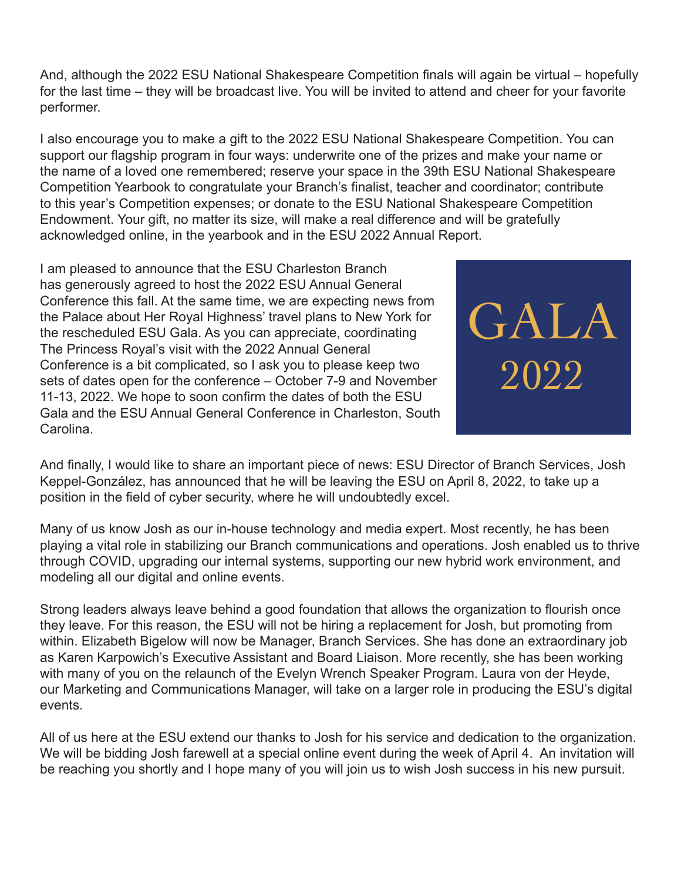And, although the 2022 ESU National Shakespeare Competition finals will again be virtual – hopefully for the last time – they will be broadcast live. You will be invited to attend and cheer for your favorite performer.

I also encourage you to make a gift to the 2022 ESU National Shakespeare Competition. You can support our flagship program in four ways: underwrite one of the prizes and make your name or the name of a loved one remembered; reserve your space in the 39th ESU National Shakespeare Competition Yearbook to congratulate your Branch's finalist, teacher and coordinator; contribute to this year's Competition expenses; or donate to the ESU National Shakespeare Competition Endowment. Your gift, no matter its size, will make a real difference and will be gratefully acknowledged online, in the yearbook and in the ESU 2022 Annual Report.

I am pleased to announce that the ESU Charleston Branch has generously agreed to host the 2022 ESU Annual General Conference this fall. At the same time, we are expecting news from the Palace about Her Royal Highness' travel plans to New York for the rescheduled ESU Gala. As you can appreciate, coordinating The Princess Royal's visit with the 2022 Annual General Conference is a bit complicated, so I ask you to please keep two sets of dates open for the conference – October 7-9 and November 11-13, 2022. We hope to soon confirm the dates of both the ESU Gala and the ESU Annual General Conference in Charleston, South Carolina.



And finally, I would like to share an important piece of news: ESU Director of Branch Services, Josh Keppel-González, has announced that he will be leaving the ESU on April 8, 2022, to take up a position in the field of cyber security, where he will undoubtedly excel.

Many of us know Josh as our in-house technology and media expert. Most recently, he has been playing a vital role in stabilizing our Branch communications and operations. Josh enabled us to thrive through COVID, upgrading our internal systems, supporting our new hybrid work environment, and modeling all our digital and online events.

Strong leaders always leave behind a good foundation that allows the organization to flourish once they leave. For this reason, the ESU will not be hiring a replacement for Josh, but promoting from within. Elizabeth Bigelow will now be Manager, Branch Services. She has done an extraordinary job as Karen Karpowich's Executive Assistant and Board Liaison. More recently, she has been working with many of you on the relaunch of the Evelyn Wrench Speaker Program. Laura von der Heyde, our Marketing and Communications Manager, will take on a larger role in producing the ESU's digital events.

All of us here at the ESU extend our thanks to Josh for his service and dedication to the organization. We will be bidding Josh farewell at a special online event during the week of April 4. An invitation will be reaching you shortly and I hope many of you will join us to wish Josh success in his new pursuit.